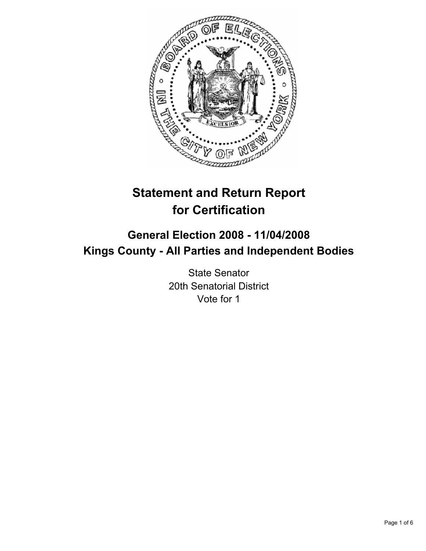

# **Statement and Return Report for Certification**

# **General Election 2008 - 11/04/2008 Kings County - All Parties and Independent Bodies**

State Senator 20th Senatorial District Vote for 1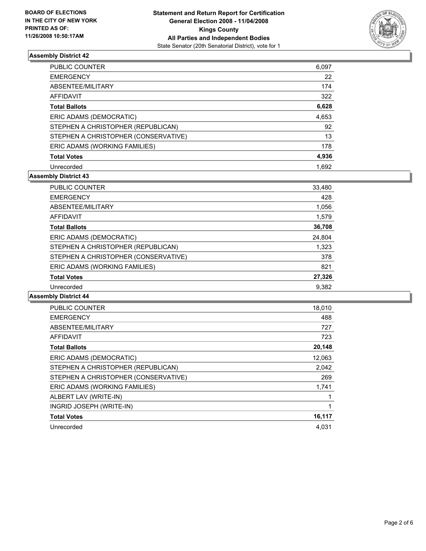

| <b>PUBLIC COUNTER</b>                | 6,097 |
|--------------------------------------|-------|
| <b>EMERGENCY</b>                     | 22    |
| ABSENTEE/MILITARY                    | 174   |
| AFFIDAVIT                            | 322   |
| <b>Total Ballots</b>                 | 6,628 |
| ERIC ADAMS (DEMOCRATIC)              | 4,653 |
| STEPHEN A CHRISTOPHER (REPUBLICAN)   | 92    |
| STEPHEN A CHRISTOPHER (CONSERVATIVE) | 13    |
| ERIC ADAMS (WORKING FAMILIES)        | 178   |
| <b>Total Votes</b>                   | 4,936 |
| Unrecorded                           | 1.692 |

# **Assembly District 43**

| <b>PUBLIC COUNTER</b>                | 33,480 |
|--------------------------------------|--------|
| <b>EMERGENCY</b>                     | 428    |
| ABSENTEE/MILITARY                    | 1,056  |
| <b>AFFIDAVIT</b>                     | 1,579  |
| <b>Total Ballots</b>                 | 36,708 |
| ERIC ADAMS (DEMOCRATIC)              | 24,804 |
| STEPHEN A CHRISTOPHER (REPUBLICAN)   | 1,323  |
| STEPHEN A CHRISTOPHER (CONSERVATIVE) | 378    |
| ERIC ADAMS (WORKING FAMILIES)        | 821    |
| <b>Total Votes</b>                   | 27,326 |
| Unrecorded                           | 9,382  |

| <b>PUBLIC COUNTER</b>                | 18,010 |
|--------------------------------------|--------|
| <b>EMERGENCY</b>                     | 488    |
| ABSENTEE/MILITARY                    | 727    |
| AFFIDAVIT                            | 723    |
| <b>Total Ballots</b>                 | 20,148 |
| ERIC ADAMS (DEMOCRATIC)              | 12,063 |
| STEPHEN A CHRISTOPHER (REPUBLICAN)   | 2,042  |
| STEPHEN A CHRISTOPHER (CONSERVATIVE) | 269    |
| ERIC ADAMS (WORKING FAMILIES)        | 1,741  |
| ALBERT LAV (WRITE-IN)                |        |
| INGRID JOSEPH (WRITE-IN)             |        |
| <b>Total Votes</b>                   | 16,117 |
| Unrecorded                           | 4,031  |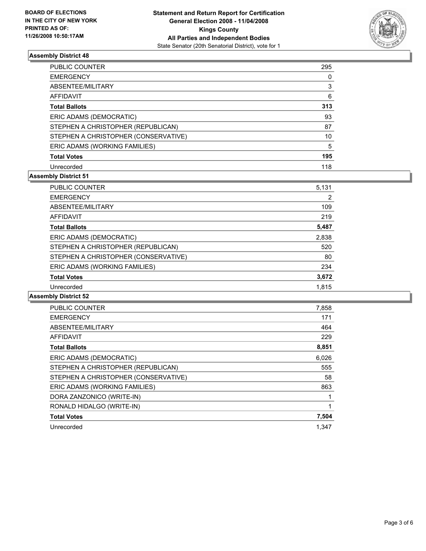

| <b>PUBLIC COUNTER</b>                | 295 |  |
|--------------------------------------|-----|--|
| <b>EMERGENCY</b>                     |     |  |
| ABSENTEE/MILITARY                    | 3   |  |
| <b>AFFIDAVIT</b>                     | 6   |  |
| <b>Total Ballots</b>                 | 313 |  |
| ERIC ADAMS (DEMOCRATIC)              | 93  |  |
| STEPHEN A CHRISTOPHER (REPUBLICAN)   | 87  |  |
| STEPHEN A CHRISTOPHER (CONSERVATIVE) | 10  |  |
| ERIC ADAMS (WORKING FAMILIES)        | 5   |  |
| <b>Total Votes</b>                   | 195 |  |
| Unrecorded                           | 118 |  |

# **Assembly District 51**

| <b>PUBLIC COUNTER</b>                | 5,131 |
|--------------------------------------|-------|
| <b>EMERGENCY</b>                     |       |
| ABSENTEE/MILITARY                    | 109   |
| AFFIDAVIT                            | 219   |
| <b>Total Ballots</b>                 | 5,487 |
| ERIC ADAMS (DEMOCRATIC)              | 2,838 |
| STEPHEN A CHRISTOPHER (REPUBLICAN)   | 520   |
| STEPHEN A CHRISTOPHER (CONSERVATIVE) | 80    |
| ERIC ADAMS (WORKING FAMILIES)        | 234   |
| <b>Total Votes</b>                   | 3,672 |
| Unrecorded                           | 1.815 |

| <b>PUBLIC COUNTER</b>                | 7,858 |
|--------------------------------------|-------|
| <b>EMERGENCY</b>                     | 171   |
| ABSENTEE/MILITARY                    | 464   |
| AFFIDAVIT                            | 229   |
| <b>Total Ballots</b>                 | 8,851 |
| ERIC ADAMS (DEMOCRATIC)              | 6,026 |
| STEPHEN A CHRISTOPHER (REPUBLICAN)   | 555   |
| STEPHEN A CHRISTOPHER (CONSERVATIVE) | 58    |
| ERIC ADAMS (WORKING FAMILIES)        | 863   |
| DORA ZANZONICO (WRITE-IN)            |       |
| RONALD HIDALGO (WRITE-IN)            |       |
| <b>Total Votes</b>                   | 7,504 |
| Unrecorded                           | 1.347 |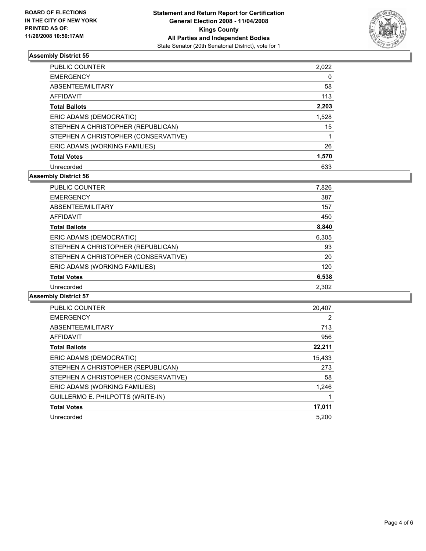

| <b>PUBLIC COUNTER</b>                | 2,022 |
|--------------------------------------|-------|
| <b>EMERGENCY</b>                     |       |
| ABSENTEE/MILITARY                    | 58    |
| <b>AFFIDAVIT</b>                     | 113   |
| <b>Total Ballots</b>                 | 2,203 |
| ERIC ADAMS (DEMOCRATIC)              | 1,528 |
| STEPHEN A CHRISTOPHER (REPUBLICAN)   | 15    |
| STEPHEN A CHRISTOPHER (CONSERVATIVE) |       |
| ERIC ADAMS (WORKING FAMILIES)        | 26    |
| <b>Total Votes</b>                   | 1,570 |
| Unrecorded                           | 633   |

# **Assembly District 56**

| PUBLIC COUNTER                       | 7,826 |
|--------------------------------------|-------|
| <b>EMERGENCY</b>                     | 387   |
| ABSENTEE/MILITARY                    | 157   |
| AFFIDAVIT                            | 450   |
| <b>Total Ballots</b>                 | 8,840 |
| ERIC ADAMS (DEMOCRATIC)              | 6,305 |
| STEPHEN A CHRISTOPHER (REPUBLICAN)   | 93    |
| STEPHEN A CHRISTOPHER (CONSERVATIVE) | 20    |
| ERIC ADAMS (WORKING FAMILIES)        | 120   |
| <b>Total Votes</b>                   | 6,538 |
| Unrecorded                           | 2,302 |

| <b>PUBLIC COUNTER</b>                | 20,407 |
|--------------------------------------|--------|
| <b>EMERGENCY</b>                     | 2      |
| ABSENTEE/MILITARY                    | 713    |
| <b>AFFIDAVIT</b>                     | 956    |
| <b>Total Ballots</b>                 | 22,211 |
| ERIC ADAMS (DEMOCRATIC)              | 15,433 |
| STEPHEN A CHRISTOPHER (REPUBLICAN)   | 273    |
| STEPHEN A CHRISTOPHER (CONSERVATIVE) | 58     |
| ERIC ADAMS (WORKING FAMILIES)        | 1,246  |
| GUILLERMO E. PHILPOTTS (WRITE-IN)    |        |
| <b>Total Votes</b>                   | 17,011 |
| Unrecorded                           | 5.200  |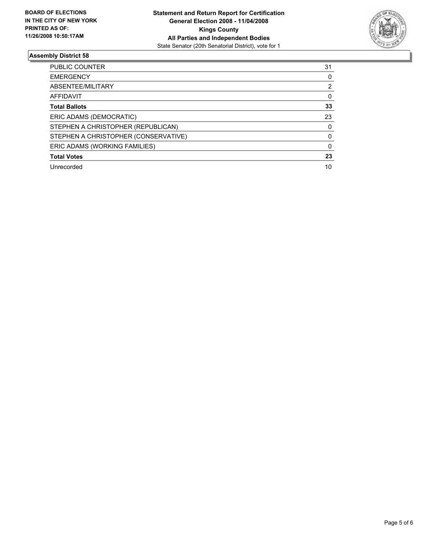

| <b>PUBLIC COUNTER</b>                | 31 |
|--------------------------------------|----|
| <b>EMERGENCY</b>                     |    |
| ABSENTEE/MILITARY                    |    |
| AFFIDAVIT                            |    |
| <b>Total Ballots</b>                 | 33 |
| ERIC ADAMS (DEMOCRATIC)              | 23 |
| STEPHEN A CHRISTOPHER (REPUBLICAN)   |    |
| STEPHEN A CHRISTOPHER (CONSERVATIVE) |    |
| ERIC ADAMS (WORKING FAMILIES)        |    |
| <b>Total Votes</b>                   | 23 |
| Unrecorded                           | 10 |